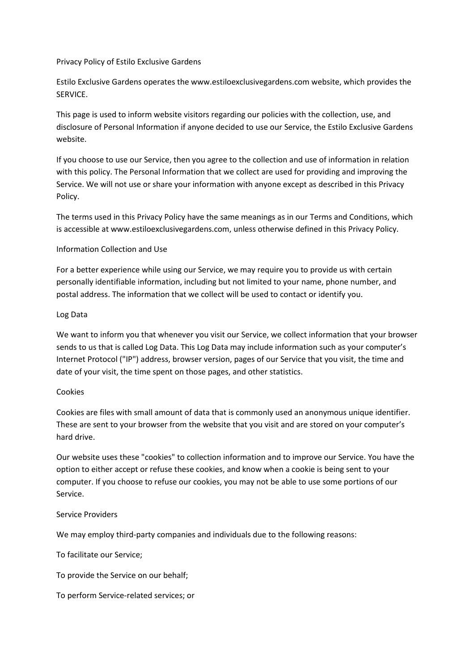Privacy Policy of Estilo Exclusive Gardens

Estilo Exclusive Gardens operates the www.estiloexclusivegardens.com website, which provides the SERVICE.

This page is used to inform website visitors regarding our policies with the collection, use, and disclosure of Personal Information if anyone decided to use our Service, the Estilo Exclusive Gardens website.

If you choose to use our Service, then you agree to the collection and use of information in relation with this policy. The Personal Information that we collect are used for providing and improving the Service. We will not use or share your information with anyone except as described in this Privacy Policy.

The terms used in this Privacy Policy have the same meanings as in our Terms and Conditions, which is accessible at www.estiloexclusivegardens.com, unless otherwise defined in this Privacy Policy.

# Information Collection and Use

For a better experience while using our Service, we may require you to provide us with certain personally identifiable information, including but not limited to your name, phone number, and postal address. The information that we collect will be used to contact or identify you.

### Log Data

We want to inform you that whenever you visit our Service, we collect information that your browser sends to us that is called Log Data. This Log Data may include information such as your computer's Internet Protocol ("IP") address, browser version, pages of our Service that you visit, the time and date of your visit, the time spent on those pages, and other statistics.

### Cookies

Cookies are files with small amount of data that is commonly used an anonymous unique identifier. These are sent to your browser from the website that you visit and are stored on your computer's hard drive.

Our website uses these "cookies" to collection information and to improve our Service. You have the option to either accept or refuse these cookies, and know when a cookie is being sent to your computer. If you choose to refuse our cookies, you may not be able to use some portions of our Service.

# Service Providers

We may employ third-party companies and individuals due to the following reasons:

To facilitate our Service;

To provide the Service on our behalf;

To perform Service-related services; or